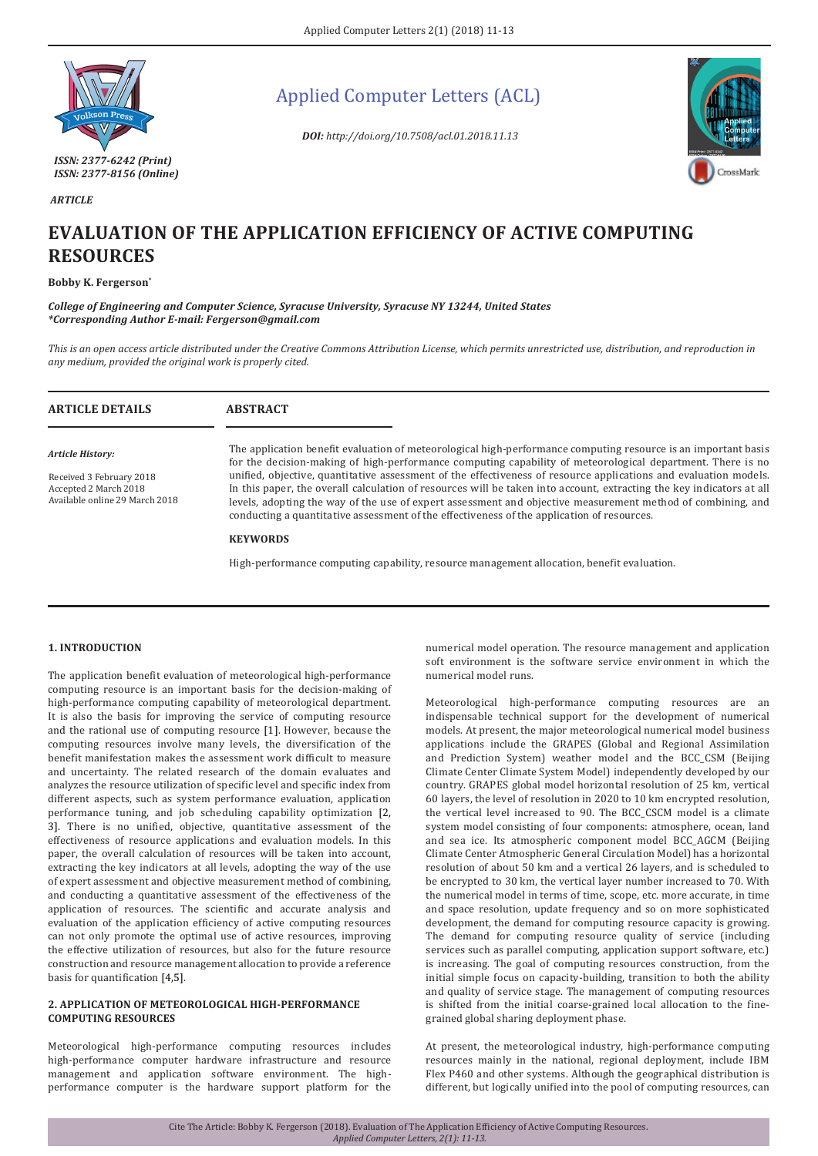

 *ARTICLE*

Applied Computer Letters (ACL)

*DOI: http://doi.org/10.7508/acl.01.2018.11.13*



# **EVALUATION OF THE APPLICATION EFFICIENCY OF ACTIVE COMPUTING RESOURCES**

**Bobby K. Fergerson\***

*College of Engineering and Computer Science, Syracuse University, Syracuse NY 13244, United States \*Corresponding Author E-mail: Fergerson@gmail.com*

*This is an open access article distributed under the Creative Commons Attribution License, which permits unrestricted use, distribution, and reproduction in any medium, provided the original work is properly cited.*

| <b>ARTICLE DETAILS</b>                                                                                  | <b>ABSTRACT</b>                                                                                                                                                                                                                                                                                                                                                                                                                                                                                                                                                                                                                                                                                          |
|---------------------------------------------------------------------------------------------------------|----------------------------------------------------------------------------------------------------------------------------------------------------------------------------------------------------------------------------------------------------------------------------------------------------------------------------------------------------------------------------------------------------------------------------------------------------------------------------------------------------------------------------------------------------------------------------------------------------------------------------------------------------------------------------------------------------------|
| Article History:<br>Received 3 February 2018<br>Accepted 2 March 2018<br>Available online 29 March 2018 | The application benefit evaluation of meteorological high-performance computing resource is an important basis<br>for the decision-making of high-performance computing capability of meteorological department. There is no<br>unified, objective, quantitative assessment of the effectiveness of resource applications and evaluation models.<br>In this paper, the overall calculation of resources will be taken into account, extracting the key indicators at all<br>levels, adopting the way of the use of expert assessment and objective measurement method of combining, and<br>conducting a quantitative assessment of the effectiveness of the application of resources.<br><b>KEYWORDS</b> |

High-performance computing capability, resource management allocation, benefit evaluation.

# **1. INTRODUCTION**

The application benefit evaluation of meteorological high-performance computing resource is an important basis for the decision-making of high-performance computing capability of meteorological department. It is also the basis for improving the service of computing resource and the rational use of computing resource [1]. However, because the computing resources involve many levels, the diversification of the benefit manifestation makes the assessment work difficult to measure and uncertainty. The related research of the domain evaluates and analyzes the resource utilization of specific level and specific index from different aspects, such as system performance evaluation, application performance tuning, and job scheduling capability optimization [2, 3]. There is no unified, objective, quantitative assessment of the effectiveness of resource applications and evaluation models. In this paper, the overall calculation of resources will be taken into account, extracting the key indicators at all levels, adopting the way of the use of expert assessment and objective measurement method of combining, and conducting a quantitative assessment of the effectiveness of the application of resources. The scientific and accurate analysis and evaluation of the application efficiency of active computing resources can not only promote the optimal use of active resources, improving the effective utilization of resources, but also for the future resource construction and resource management allocation to provide a reference basis for quantification [4,5].

# **2. APPLICATION OF METEOROLOGICAL HIGH-PERFORMANCE COMPUTING RESOURCES**

Meteorological high-performance computing resources includes high-performance computer hardware infrastructure and resource management and application software environment. The highperformance computer is the hardware support platform for the

numerical model operation. The resource management and application soft environment is the software service environment in which the numerical model runs.

Meteorological high-performance computing resources are an indispensable technical support for the development of numerical models. At present, the major meteorological numerical model business applications include the GRAPES (Global and Regional Assimilation and Prediction System) weather model and the BCC\_CSM (Beijing Climate Center Climate System Model) independently developed by our country. GRAPES global model horizontal resolution of 25 km, vertical 60 layers, the level of resolution in 2020 to 10 km encrypted resolution, the vertical level increased to 90. The BCC\_CSCM model is a climate system model consisting of four components: atmosphere, ocean, land and sea ice. Its atmospheric component model BCC\_AGCM (Beijing Climate Center Atmospheric General Circulation Model) has a horizontal resolution of about 50 km and a vertical 26 layers, and is scheduled to be encrypted to 30 km, the vertical layer number increased to 70. With the numerical model in terms of time, scope, etc. more accurate, in time and space resolution, update frequency and so on more sophisticated development, the demand for computing resource capacity is growing. The demand for computing resource quality of service (including services such as parallel computing, application support software, etc.) is increasing. The goal of computing resources construction, from the initial simple focus on capacity-building, transition to both the ability and quality of service stage. The management of computing resources is shifted from the initial coarse-grained local allocation to the finegrained global sharing deployment phase.

At present, the meteorological industry, high-performance computing resources mainly in the national, regional deployment, include IBM Flex P460 and other systems. Although the geographical distribution is different, but logically unified into the pool of computing resources, can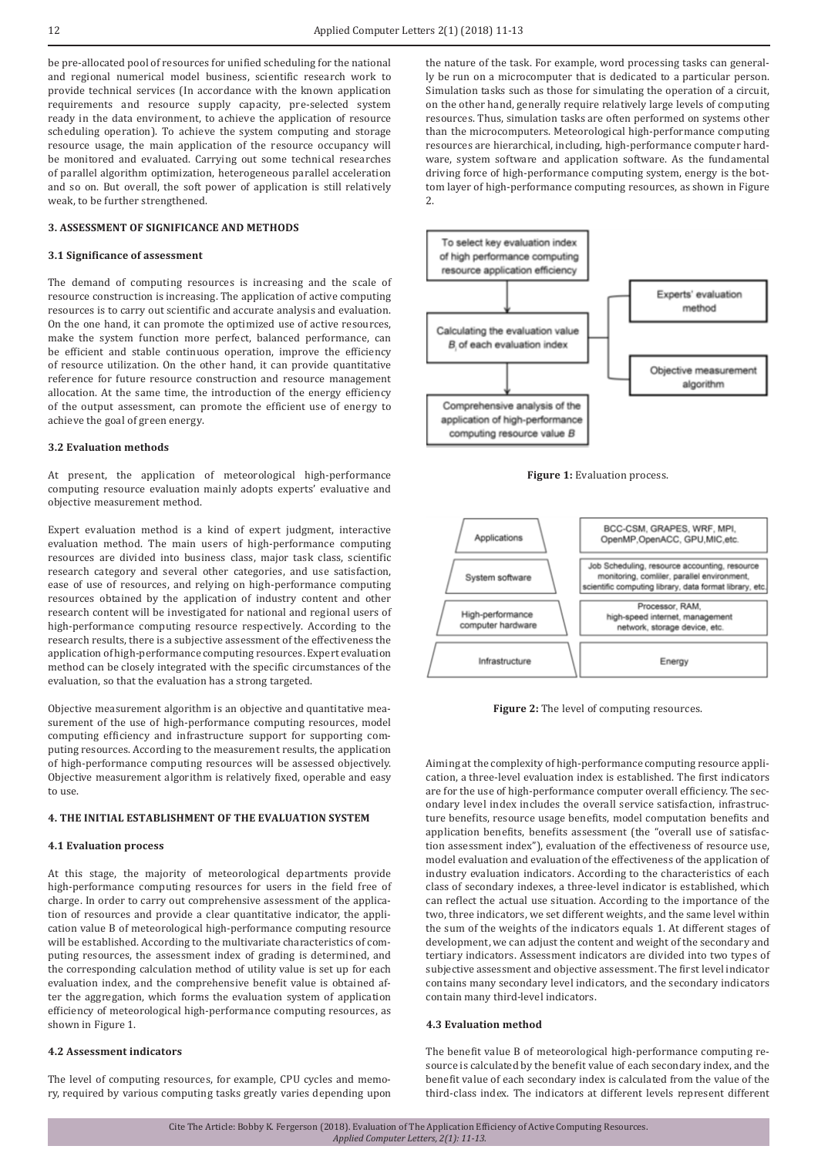be pre-allocated pool of resources for unified scheduling for the national and regional numerical model business, scientific research work to provide technical services (In accordance with the known application requirements and resource supply capacity, pre-selected system ready in the data environment, to achieve the application of resource scheduling operation). To achieve the system computing and storage resource usage, the main application of the resource occupancy will be monitored and evaluated. Carrying out some technical researches of parallel algorithm optimization, heterogeneous parallel acceleration and so on. But overall, the soft power of application is still relatively weak, to be further strengthened.

# **3. ASSESSMENT OF SIGNIFICANCE AND METHODS**

#### **3.1 Significance of assessment**

The demand of computing resources is increasing and the scale of resource construction is increasing. The application of active computing resources is to carry out scientific and accurate analysis and evaluation. On the one hand, it can promote the optimized use of active resources, make the system function more perfect, balanced performance, can be efficient and stable continuous operation, improve the efficiency of resource utilization. On the other hand, it can provide quantitative reference for future resource construction and resource management allocation. At the same time, the introduction of the energy efficiency of the output assessment, can promote the efficient use of energy to achieve the goal of green energy.

## **3.2 Evaluation methods**

At present, the application of meteorological high-performance computing resource evaluation mainly adopts experts' evaluative and objective measurement method.

Expert evaluation method is a kind of expert judgment, interactive evaluation method. The main users of high-performance computing resources are divided into business class, major task class, scientific research category and several other categories, and use satisfaction, ease of use of resources, and relying on high-performance computing resources obtained by the application of industry content and other research content will be investigated for national and regional users of high-performance computing resource respectively. According to the research results, there is a subjective assessment of the effectiveness the application of high-performance computing resources. Expert evaluation method can be closely integrated with the specific circumstances of the evaluation, so that the evaluation has a strong targeted.

Objective measurement algorithm is an objective and quantitative measurement of the use of high-performance computing resources, model computing efficiency and infrastructure support for supporting computing resources. According to the measurement results, the application of high-performance computing resources will be assessed objectively. Objective measurement algorithm is relatively fixed, operable and easy to use.

# **4. THE INITIAL ESTABLISHMENT OF THE EVALUATION SYSTEM**

## **4.1 Evaluation process**

At this stage, the majority of meteorological departments provide high-performance computing resources for users in the field free of charge. In order to carry out comprehensive assessment of the application of resources and provide a clear quantitative indicator, the application value B of meteorological high-performance computing resource will be established. According to the multivariate characteristics of computing resources, the assessment index of grading is determined, and the corresponding calculation method of utility value is set up for each evaluation index, and the comprehensive benefit value is obtained after the aggregation, which forms the evaluation system of application efficiency of meteorological high-performance computing resources, as shown in Figure 1.

## **4.2 Assessment indicators**

The level of computing resources, for example, CPU cycles and memory, required by various computing tasks greatly varies depending upon the nature of the task. For example, word processing tasks can generally be run on a microcomputer that is dedicated to a particular person. Simulation tasks such as those for simulating the operation of a circuit, on the other hand, generally require relatively large levels of computing resources. Thus, simulation tasks are often performed on systems other than the microcomputers. Meteorological high-performance computing resources are hierarchical, including, high-performance computer hardware, system software and application software. As the fundamental driving force of high-performance computing system, energy is the bottom layer of high-performance computing resources, as shown in Figure 2.







**Figure 2:** The level of computing resources.

Aiming at the complexity of high-performance computing resource application, a three-level evaluation index is established. The first indicators are for the use of high-performance computer overall efficiency. The secondary level index includes the overall service satisfaction, infrastructure benefits, resource usage benefits, model computation benefits and application benefits, benefits assessment (the "overall use of satisfaction assessment index"), evaluation of the effectiveness of resource use, model evaluation and evaluation of the effectiveness of the application of industry evaluation indicators. According to the characteristics of each class of secondary indexes, a three-level indicator is established, which can reflect the actual use situation. According to the importance of the two, three indicators, we set different weights, and the same level within the sum of the weights of the indicators equals 1. At different stages of development, we can adjust the content and weight of the secondary and tertiary indicators. Assessment indicators are divided into two types of subjective assessment and objective assessment. The first level indicator contains many secondary level indicators, and the secondary indicators contain many third-level indicators.

### **4.3 Evaluation method**

The benefit value B of meteorological high-performance computing resource is calculated by the benefit value of each secondary index, and the benefit value of each secondary index is calculated from the value of the third-class index. The indicators at different levels represent different

Cite The Article: Bobby K. Fergerson (2018). Evaluation of The Application Efficiency of Active Computing Resources. *Applied Computer Letters, 2(1): 11-13.*